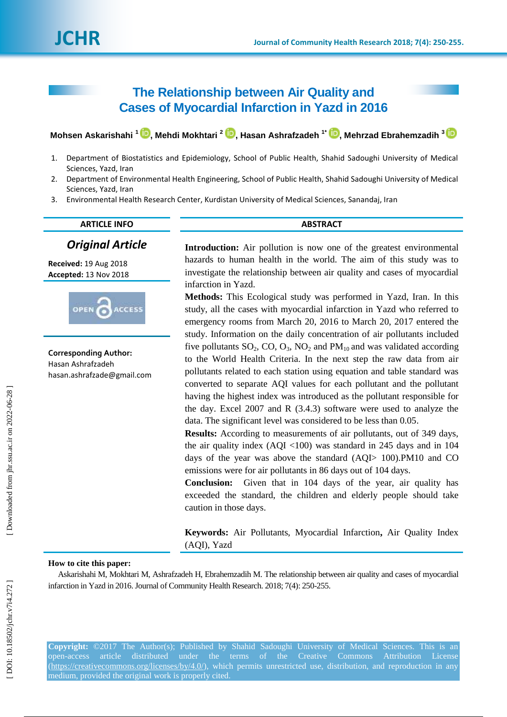# **The Relationship between Air Quality and Cases of Myocardial Infarction in Yazd in 2016**

 $\blacksquare$ Mohsen Askarishahi  $^1$   $\blacksquare$ [,](https://orcid.org/0000-0001-9236-2639) Mehdi Mokhtari  $^2$   $\blacksquare$ , Hasan Ashrafzadeh  $^1$   $\blacksquare$ , Mehrzad Ebrahemzadih  $^3$ 

- 1. Department of Biostatistics and Epidemiology, School of Public Health, Shahid Sadoughi University of Medical Sciences, Yazd, Iran
- 2. Department of Environmental Health Engineering, School of Public Health, Shahid Sadoughi University of Medical Sciences, Yazd, Iran
- 3. Environmental Health Research Center, Kurdistan University of Medical Sciences, Sanandaj, Iran

# **ARTICLE INFO ABSTRACT**

# *Original Article*

**Received:**  1 9 Aug 2018 **Accepted:** 13 Nov 2018



**Corresponding Author:** Hasan Ashrafzadeh hasan.ashrafzade@gmail.com **Introduction:** Air pollution is now one of the greatest environmental hazards to human health in the world. The aim of this study was to investigate the relationship between air quality and cases of myocardial infarction in Yazd.

**Methods:** This Ecological study was performed in Yazd, Iran. In this study, all the cases with myocardial infarction in Yazd who referred to emergency rooms from March 20, 2016 to March 20, 2017 entered the study . Information on the daily concentration of air pollutants included five pollutants  $SO_2$ ,  $CO$ ,  $O_3$ ,  $NO_2$  and  $PM_{10}$  and was validated according to the World Health Criteria. In the next step the raw data from air pollutants related to each station using equation and table standard was converted to separate AQI values for each pollutant and the pollutant having the highest index was introduced as the pollutant responsible for the day. Excel 2007 and R (3.4.3) software were used to analyze the data. The significant level was considered to be less than 0.05 .

**Results:** According to measurements of air pollutants, out of 349 days, the air quality index (AQI <100) was standard in 245 days and in 104 days of the year was above the standard (AQI> 100).PM10 and CO emissions were for air pollutants in 86 days out of 104 days.

**Conclusion:** Given that in 104 days of the year, air quality has exceeded the standard, the children and elderly people should take caution in those days.

**Keywords:** Air Pollutants, Myocardial Infarction**,** Air Quality Index (AQI), Yazd

# **How to cite this paper:**

Askarishahi M, Mokhtari M, Ashrafzadeh H, Ebrahemzadih M. The relationship between air quality and cases of myocardial infarction in Yazd in 2016. Journal of Community Health Research. 2018; 7(4): 250 -255 .

**Copyright:** ©2017 The Author(s); Published by Shahid Sadoughi University of Medical Sciences. This is an open-access article distributed under the terms of the Creative Commons Attribution License [\(https://creativecommons.org/licenses/by/4.0/\)](https://creativecommons.org/licenses/by/4.0/), which permits unrestricted use, distribution, and reproduction in any medium, provided the original work is properly cited.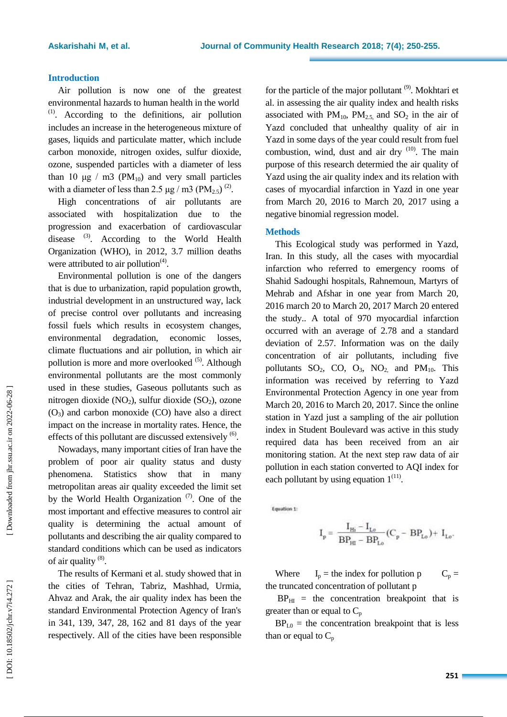# **Introduction**

Air pollution is now one of the greatest environmental hazards to human health in the world  $(1)$ . According to the definitions, air pollution includes an increase in the heterogeneous mixture of gases, liquids and particulate matter, which include carbon monoxide, nitrogen oxides, sulfur dioxide, ozone, suspended particles with a diameter of less than 10 μg / m3 ( $PM_{10}$ ) and very small particles with a diameter of less than 2.5  $\mu$ g / m3 (PM<sub>2.5</sub>)<sup>(2)</sup>.

High concentrations of air pollutants are associated with hospitalization due to the progression and exacerbation of cardiovascular disease <sup>(3)</sup>. According to the World Health Organization (WHO), in 2012, 3.7 million deaths were attributed to air pollution $(4)$ .

Environmental pollution is one of the dangers that is due to urbanization, rapid population growth, industrial development in an unstructured way, lack of precise control over pollutants and increasing fossil fuels which results in ecosystem changes, environmental degradation, economic losses, climate fluctuations and air pollution, in which air pollution is more and more overlooked <sup>(5)</sup>. Although environmental pollutants are the most commonly used in these studies, Gaseous pollutants such as nitrogen dioxide (NO <sup>2</sup>), sulfur dioxide (SO <sup>2</sup>), ozone (O <sup>3</sup>) and carbon monoxide (CO) have also a direct impact on the increase in mortality rates. Hence, the effects of this pollutant are discussed extensively <sup>(6)</sup>.

Nowadays, many important cities of Iran have the problem of poor air quality status and dusty phenomena. Statistics show that in many metropolitan areas air quality exceeded the limit set by the World Health Organization  $(7)$ . One of the most important and effective measures to control air quality is determining the actual amount of pollutants and describing the air quality compared to standard conditions which can be used as indicators of air quality  $^{(8)}$ .

The results of Kermani et al . study showed that in the cities of Tehran, Tabriz, Mashhad, Urmia, Ahvaz and Arak, the air quality index has been the standard Environmental Protection Agency of Iran's in 341, 139, 347, 28, 162 and 81 days of the year respectively. All of the cities have been responsible

for the particle of the major pollutant<sup>(9)</sup>. Mokhtari et al . in assessing the air quality index and health risks associated with  $PM_{10}$ ,  $PM_{2.5}$ , and  $SO_2$  in the air of Yazd concluded that unhealthy quality of air in Yazd in some days of the year could result from fuel combustion, wind, dust and air dry <sup>(10)</sup>. The main purpose of this research determied the air quality of Yazd using the air quality index and its relation with cases of myocardial infarction in Yazd in one year from March 20, 2016 to March 20, 2017 using a negative binomial regression model .

# **Methods**

This Ecological study was performed in Yazd, Iran. In this study, all the cases with myocardial infarction who referred to emergency rooms of Shahid Sadoughi hospitals, Rahnemoun, Martyrs of Mehrab and Afshar in one year from March 20, 2016 march 20 to March 20, 2017 March 20 entered the study. . A total of 970 myocardial infarction occurred with an average of 2.78 and a standard deviation of 2.57. Information was on the daily concentration of air pollutants, including five pollutants  $SO_2$ ,  $CO$ ,  $O_3$ ,  $NO_2$ , and  $PM_{10}$ . This information was received by referring to Yazd Environmental Protection Agency in one year from March 20, 2016 to March 20, 2017. Since the online station in Yazd just a sampling of the air pollution index in Student Boulevard was active in this study required data has been received from an air monitoring station. At the next step raw data of air pollution in each station converted to AQI index for each pollutant by using equation  $1^{(11)}$ .

Equation 1:

$$
\mathbf{I}_p = \frac{\mathbf{I}_{Hi} - \mathbf{I}_{Lo}}{BP_{Hi} - BP_{Lo}} (C_p - BP_{Lo}) + \mathbf{I}_{Lo}.
$$

Where  $I_p$  = the index for pollution p  $C_p =$ the truncated concentration of pollutant p

 $BP_{HI}$  = the concentration breakpoint that is greater than or equal to  $C_p$ 

 $BP<sub>L0</sub>$  = the concentration breakpoint that is less than or equal to  $C_p$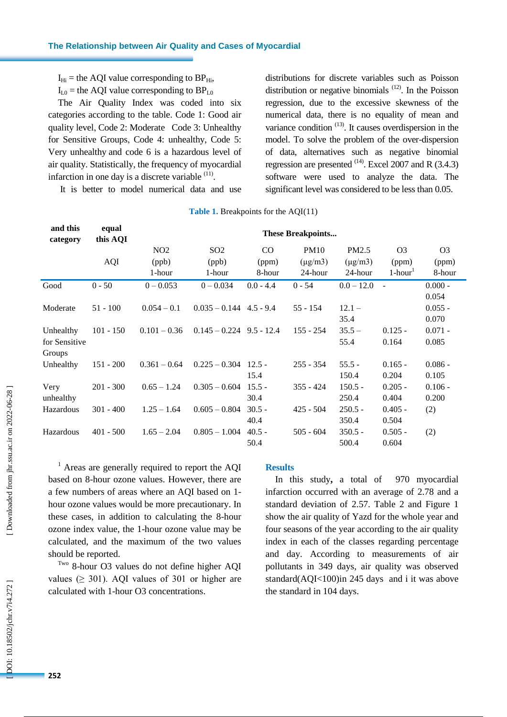|                                      |             | $I_{Hi}$ = the AQI value corresponding to BP <sub>Hi</sub> ,<br>$I_{L0}$ = the AQI value corresponding to BP <sub>L0</sub><br>The Air Quality Index was coded into six<br>categories according to the table. Code 1: Good air<br>quality level, Code 2: Moderate Code 3: Unhealthy<br>for Sensitive Groups, Code 4: unhealthy, Code 5:<br>Very unhealthy and code 6 is a hazardous level of<br>air quality. Statistically, the frequency of myocardial<br>infarction in one day is a discrete variable <sup>(11)</sup> .<br>It is better to model numerical data and use | distributions for discrete variables such as Poisson<br>distribution or negative binomials $(12)$ . In the Poisson<br>regression, due to the excessive skewness of the<br>numerical data, there is no equality of mean and<br>variance condition $(13)$ . It causes overdispersion in the<br>model. To solve the problem of the over-dispersion<br>of data, alternatives such as negative binomial<br>regression are presented $^{(14)}$ . Excel 2007 and R (3.4.3)<br>software were used to analyze the data. The<br>significant level was considered to be less than 0.05. |                  |                                                                                                                                                                                                                                                                                                                                                                                                                                                                                                         |                         |                                 |                             |  |
|--------------------------------------|-------------|--------------------------------------------------------------------------------------------------------------------------------------------------------------------------------------------------------------------------------------------------------------------------------------------------------------------------------------------------------------------------------------------------------------------------------------------------------------------------------------------------------------------------------------------------------------------------|------------------------------------------------------------------------------------------------------------------------------------------------------------------------------------------------------------------------------------------------------------------------------------------------------------------------------------------------------------------------------------------------------------------------------------------------------------------------------------------------------------------------------------------------------------------------------|------------------|---------------------------------------------------------------------------------------------------------------------------------------------------------------------------------------------------------------------------------------------------------------------------------------------------------------------------------------------------------------------------------------------------------------------------------------------------------------------------------------------------------|-------------------------|---------------------------------|-----------------------------|--|
|                                      |             |                                                                                                                                                                                                                                                                                                                                                                                                                                                                                                                                                                          | <b>Table 1.</b> Breakpoints for the $AQI(11)$                                                                                                                                                                                                                                                                                                                                                                                                                                                                                                                                |                  |                                                                                                                                                                                                                                                                                                                                                                                                                                                                                                         |                         |                                 |                             |  |
| and this                             | equal       | <b>These Breakpoints</b>                                                                                                                                                                                                                                                                                                                                                                                                                                                                                                                                                 |                                                                                                                                                                                                                                                                                                                                                                                                                                                                                                                                                                              |                  |                                                                                                                                                                                                                                                                                                                                                                                                                                                                                                         |                         |                                 |                             |  |
| category                             | this AQI    | NO <sub>2</sub>                                                                                                                                                                                                                                                                                                                                                                                                                                                                                                                                                          | SO <sub>2</sub>                                                                                                                                                                                                                                                                                                                                                                                                                                                                                                                                                              | CO               | <b>PM10</b>                                                                                                                                                                                                                                                                                                                                                                                                                                                                                             | PM2.5                   | O <sub>3</sub>                  | O <sub>3</sub>              |  |
|                                      | <b>AQI</b>  | (ppb)<br>1-hour                                                                                                                                                                                                                                                                                                                                                                                                                                                                                                                                                          | (ppb)<br>1-hour                                                                                                                                                                                                                                                                                                                                                                                                                                                                                                                                                              | (ppm)<br>8-hour  | $(\mu g/m3)$<br>24-hour                                                                                                                                                                                                                                                                                                                                                                                                                                                                                 | $(\mu g/m3)$<br>24-hour | (ppm)<br>$1$ -hour <sup>1</sup> | (ppm)<br>8-hour             |  |
| Good                                 | $0 - 50$    | $0 - 0.053$                                                                                                                                                                                                                                                                                                                                                                                                                                                                                                                                                              | $0 - 0.034$                                                                                                                                                                                                                                                                                                                                                                                                                                                                                                                                                                  | $0.0 - 4.4$      | $0 - 54$                                                                                                                                                                                                                                                                                                                                                                                                                                                                                                | $0.0 - 12.0$            | $\sim$                          | $0.000 -$                   |  |
| Moderate                             | $51 - 100$  | $0.054 - 0.1$                                                                                                                                                                                                                                                                                                                                                                                                                                                                                                                                                            | $0.035 - 0.144$ 4.5 - 9.4                                                                                                                                                                                                                                                                                                                                                                                                                                                                                                                                                    |                  | $55 - 154$                                                                                                                                                                                                                                                                                                                                                                                                                                                                                              | $12.1 -$<br>35.4        |                                 | 0.054<br>$0.055 -$<br>0.070 |  |
| Unhealthy<br>for Sensitive<br>Groups | $101 - 150$ | $0.101 - 0.36$                                                                                                                                                                                                                                                                                                                                                                                                                                                                                                                                                           | $0.145 - 0.224$ 9.5 - 12.4                                                                                                                                                                                                                                                                                                                                                                                                                                                                                                                                                   |                  | $155 - 254$                                                                                                                                                                                                                                                                                                                                                                                                                                                                                             | $35.5 -$<br>55.4        | $0.125 -$<br>0.164              | $0.071 -$<br>0.085          |  |
| Unhealthy                            | $151 - 200$ | $0.361 - 0.64$                                                                                                                                                                                                                                                                                                                                                                                                                                                                                                                                                           | $0.225 - 0.304$ 12.5 -                                                                                                                                                                                                                                                                                                                                                                                                                                                                                                                                                       | 15.4             | $255 - 354$                                                                                                                                                                                                                                                                                                                                                                                                                                                                                             | $55.5 -$<br>150.4       | $0.165 -$<br>0.204              | $0.086 -$<br>0.105          |  |
| Very<br>unhealthy                    | $201 - 300$ | $0.65 - 1.24$                                                                                                                                                                                                                                                                                                                                                                                                                                                                                                                                                            | $0.305 - 0.604$                                                                                                                                                                                                                                                                                                                                                                                                                                                                                                                                                              | $15.5 -$<br>30.4 | $355 - 424$                                                                                                                                                                                                                                                                                                                                                                                                                                                                                             | $150.5 -$<br>250.4      | $0.205 -$<br>0.404              | $0.106 -$<br>0.200          |  |
| Hazardous                            | $301 - 400$ | $1.25 - 1.64$                                                                                                                                                                                                                                                                                                                                                                                                                                                                                                                                                            | $0.605 - 0.804$                                                                                                                                                                                                                                                                                                                                                                                                                                                                                                                                                              | $30.5 -$<br>40.4 | $425 - 504$                                                                                                                                                                                                                                                                                                                                                                                                                                                                                             | $250.5 -$<br>350.4      | $0.405 -$<br>0.504              | (2)                         |  |
| Hazardous                            | $401 - 500$ | $1.65 - 2.04$                                                                                                                                                                                                                                                                                                                                                                                                                                                                                                                                                            | $0.805 - 1.004$                                                                                                                                                                                                                                                                                                                                                                                                                                                                                                                                                              | $40.5 -$<br>50.4 | $505 - 604$                                                                                                                                                                                                                                                                                                                                                                                                                                                                                             | $350.5 -$<br>500.4      | $0.505 -$<br>0.604              | (2)                         |  |
| should be reported.                  |             | <sup>1</sup> Areas are generally required to report the AQI<br>based on 8-hour ozone values. However, there are<br>a few numbers of areas where an AQI based on 1-<br>hour ozone values would be more precautionary. In<br>these cases, in addition to calculating the 8-hour<br>ozone index value, the 1-hour ozone value may be<br>calculated, and the maximum of the two values<br>Two 8-hour O3 values do not define higher AQI<br>values $( \geq 301)$ . AQI values of 301 or higher are<br>calculated with 1-hour O3 concentrations.                               |                                                                                                                                                                                                                                                                                                                                                                                                                                                                                                                                                                              | <b>Results</b>   | In this study, a total of 970 myocardial<br>infarction occurred with an average of 2.78 and a<br>standard deviation of 2.57. Table 2 and Figure 1<br>show the air quality of Yazd for the whole year and<br>four seasons of the year according to the air quality<br>index in each of the classes regarding percentage<br>and day. According to measurements of air<br>pollutants in 349 days, air quality was observed<br>standard(AQI<100)in 245 days and i it was above<br>the standard in 104 days. |                         |                                 |                             |  |
| 252                                  |             |                                                                                                                                                                                                                                                                                                                                                                                                                                                                                                                                                                          |                                                                                                                                                                                                                                                                                                                                                                                                                                                                                                                                                                              |                  |                                                                                                                                                                                                                                                                                                                                                                                                                                                                                                         |                         |                                 |                             |  |

#### **Result s**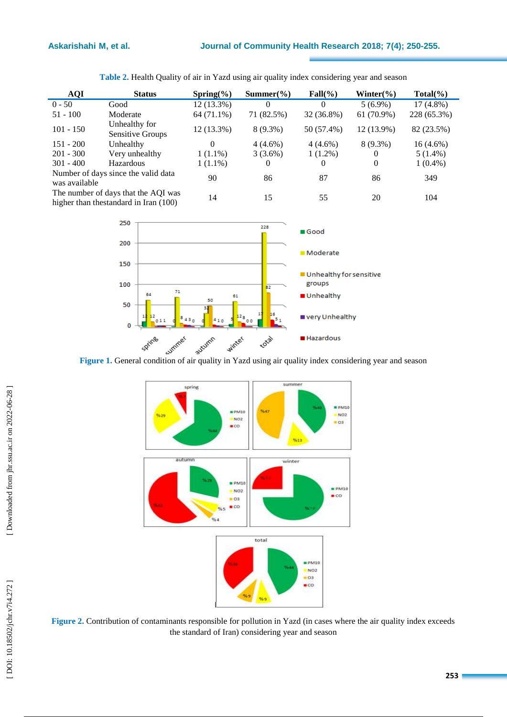| <b>AQI</b>                                                                    | <b>Status</b>                            | $Spring(\% )$        | $Summer(\% )$ | $Fall(\%)$ | Winter $\frac{6}{6}$ | $Total(\%)$ |
|-------------------------------------------------------------------------------|------------------------------------------|----------------------|---------------|------------|----------------------|-------------|
| $0 - 50$                                                                      | Good                                     | 12 (13.3%)           | $\Omega$      | $\Omega$   | $5(6.9\%)$           | $17(4.8\%)$ |
| $51 - 100$                                                                    | Moderate                                 | 64 (71.1%)           | 71 (82.5%)    | 32 (36.8%) | $61(70.9\%)$         | 228 (65.3%) |
| $101 - 150$                                                                   | Unhealthy for<br><b>Sensitive Groups</b> | 12 (13.3%)           | $8(9.3\%)$    | 50 (57.4%) | 12 (13.9%)           | 82 (23.5%)  |
| $151 - 200$                                                                   | Unhealthy                                | $\Omega$             | $4(4.6\%)$    | $4(4.6\%)$ | $8(9.3\%)$           | $16(4.6\%)$ |
| $201 - 300$                                                                   | Very unhealthy                           | $1(1.1\%)$           | $3(3.6\%)$    | $1(1.2\%)$ | $\theta$             | $5(1.4\%)$  |
| $301 - 400$                                                                   | Hazardous                                | $1(1.1\%)$           | 0             | 0          | $\theta$             | $1(0.4\%)$  |
| was available                                                                 | Number of days since the valid data      | 90<br>87<br>86<br>86 |               | 349        |                      |             |
| The number of days that the AQI was<br>higher than the standard in Iran (100) |                                          | 14                   | 15            | 55         | 20                   | 104         |



250 228 Good 200 **Moderate** 150 Unhealthy for sensitive 100 groups  $\overline{71}$ 64 Unhealthy 61 50 50 very Unhealthy  $43<sub>0</sub>$ 12, 410  $011$ o o  $\mathbf 0$ Spring winter total Hazardous

**Figure 1 .** General condition of air quality in Yazd using air quality index considering year and season



**Figure 2 .** Contribution of contaminants responsible for pollution in Yazd (in cases where the air quality index exceeds the standard of Iran) considering year and season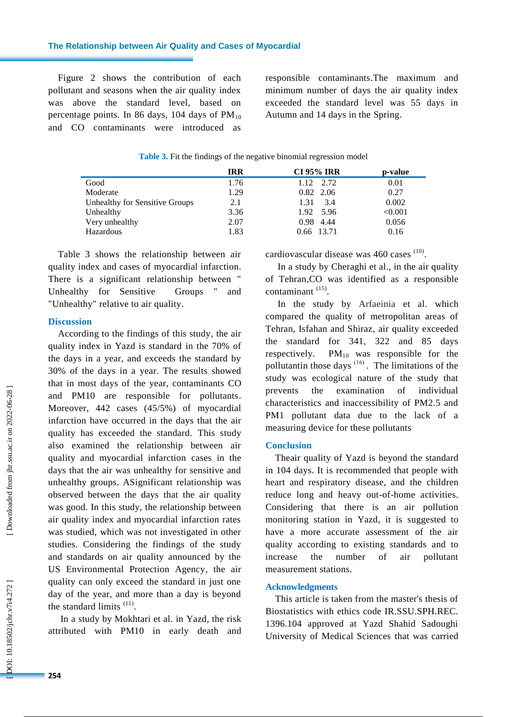Figure 2 shows the contribution of each pollutant and seasons when the air quality index was above the standard level, based on percentage points. In 86 days, 104 days of  $PM_{10}$ and CO contaminants were introduced as responsible contaminants.The maximum and minimum number of days the air quality index exceeded the standard level was 55 days in Autumn and 14 days in the Spring .

|  |  |  | <b>Table 3.</b> Fit the findings of the negative binomial regression model |  |
|--|--|--|----------------------------------------------------------------------------|--|
|  |  |  |                                                                            |  |

|                                | <b>IRR</b> | <b>CI 95% IRR</b> | p-value |
|--------------------------------|------------|-------------------|---------|
| Good                           | 1.76       | 1.12 2.72         | 0.01    |
| Moderate                       | 1.29       | 0.82 2.06         | 0.27    |
| Unhealthy for Sensitive Groups | 2.1        | 3.4<br>1.31       | 0.002   |
| Unhealthy                      | 3.36       | 1.92 5.96         | < 0.001 |
| Very unhealthy                 | 2.07       | 0.98 4.44         | 0.056   |
| Hazardous                      | 1.83       | 0.66 13.71        | 0.16    |

Table 3 shows the relationship between air quality index and cases of myocardial infarction . There is a significant relationship between " Unhealthy for Sensitive Groups " and "Unhealthy" relative to air quality.

# **Discussion**

According to the findings of this study , the air quality index in Yazd is standard in the 70% of the days in a year, and exceeds the standard by 30% of the days in a year . The results showed that in most days of the year , contaminants CO and PM10 are responsible for pollutants. Moreover, 442 cases (45/5%) of myocardial infarction have occurred in the days that the air quality has exceeded the standard. This study also examined the relationship between air quality and myocardial infarction cases in the days that the air was unhealthy for sensitive and unhealthy groups. ASignificant relationship was observed between the days that the air quality was good. In this study, the relationship between air quality index and myocardial infarction rates was studied, which was not investigated in other studies. Considering the findings of the study and standards on air quality announced by the US Environmental Protection Agency , the air quality can only exceed the standard in just one day of the year, and more than a day is beyond the standard limits  $(11)$ .

In a study by Mokhtari et al. in Yazd , the risk attributed with PM10 in early death and

cardiovascular disease was  $460$  cases  $(10)$ .

In a study by Cheraghi et al., in the air quality of Tehran ,CO was identified as a responsible contaminant<sup>(15)</sup>.

In the study by Arfaeinia et al. which compared the quality of metropolitan areas of Tehran, Isfahan and Shiraz, air quality exceeded the standard for 341, 322 and 85 days respectively.  $PM_{10}$  was responsible for the pollutantin those days  $(16)$ . The limitations of the study was ecological nature of the study that prevents the examination of individual characteristics and inaccessibility of PM2.5 and PM1 pollutant data due to the lack of a measuring device for these pollutants

# **Conclusion**

Theair quality of Yazd is beyond the standard in 104 days. It is recommended that people with heart and respiratory disease, and the children reduce long and heavy out -of -home activities. Considering that there is an air pollution monitoring station in Yazd, it is suggested to have a more accurate assessment of the air quality according to existing standards an d to increase the number of air pollutant measurement stations.

#### **Acknowledgments**

This article is taken from the master's thesis of Biostatistics with ethics code IR.SSU.SPH.REC. 1396.104 approved at Yazd Shahid Sadoughi University of Medical Sciences that was carried